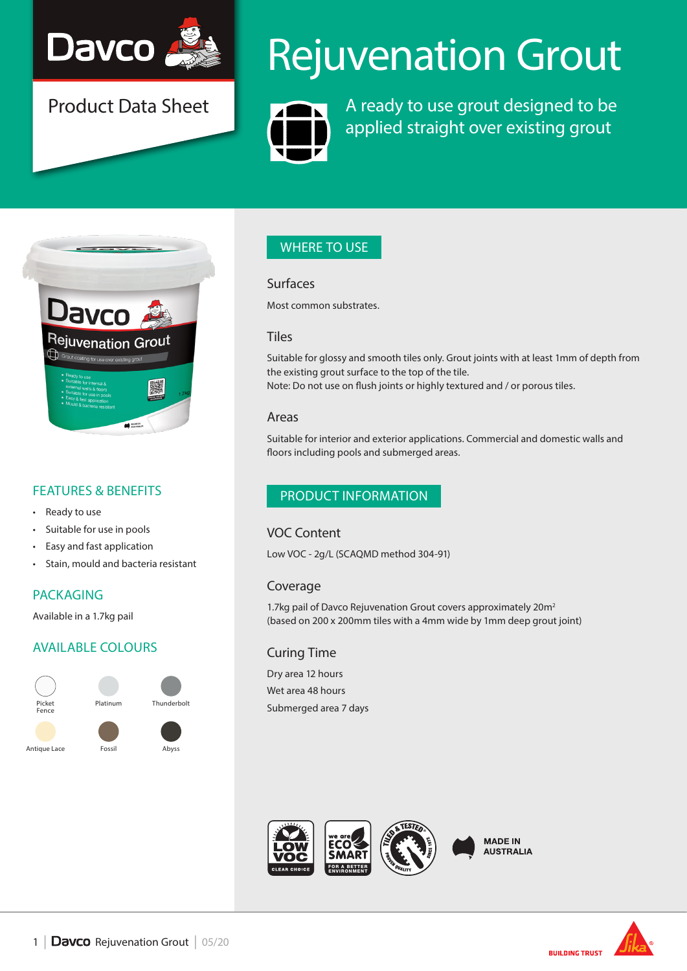

Product Data Sheet

# Rejuvenation Grout



A ready to use grout designed to be applied straight over existing grout



## FEATURES & BENEFITS

- Ready to use
- Suitable for use in pools
- Easy and fast application
- Stain, mould and bacteria resistant

## PACKAGING

Available in a 1.7kg pail

## AVAILABLE COLOURS



# WHERE TO USE

#### Surfaces

Most common substrates.

### **Tiles**

Suitable for glossy and smooth tiles only. Grout joints with at least 1mm of depth from the existing grout surface to the top of the tile. Note: Do not use on flush joints or highly textured and / or porous tiles.

### Areas

Suitable for interior and exterior applications. Commercial and domestic walls and floors including pools and submerged areas.

## PRODUCT INFORMATION

## VOC Content

Low VOC - 2g/L (SCAQMD method 304-91)

## Coverage

1.7kg pail of Davco Rejuvenation Grout covers approximately 20m<sup>2</sup> (based on 200 x 200mm tiles with a 4mm wide by 1mm deep grout joint)

## Curing Time

Dry area 12 hours Wet area 48 hours Submerged area 7 days



**MADE IN AUSTRALIA** 

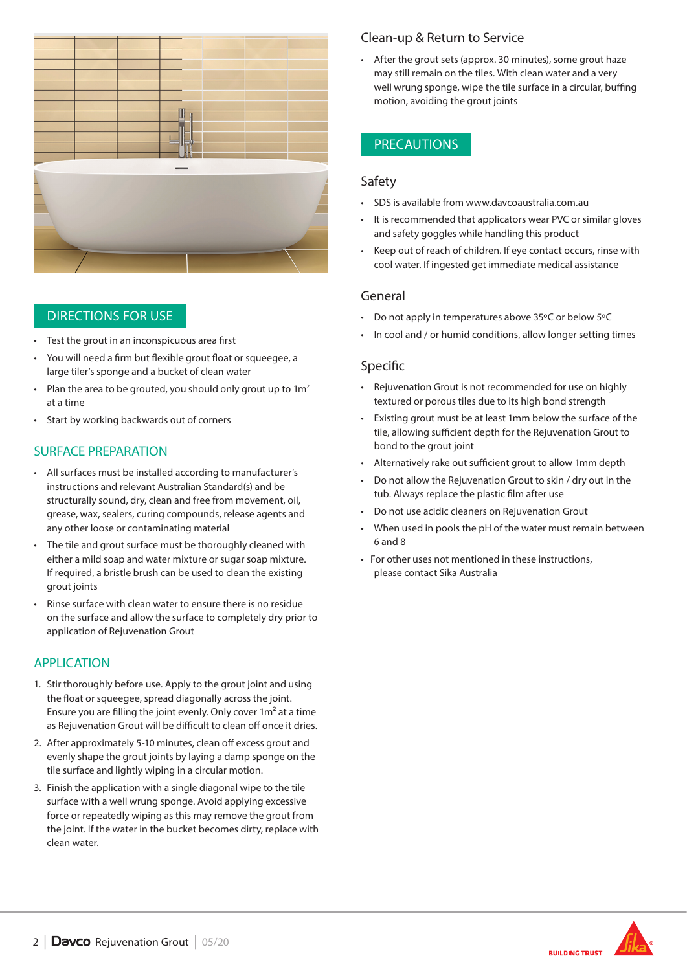

## DIRECTIONS FOR USE

- Test the grout in an inconspicuous area first
- You will need a firm but flexible grout float or squeegee, a large tiler's sponge and a bucket of clean water
- Plan the area to be grouted, you should only grout up to  $1m<sup>2</sup>$ at a time
- Start by working backwards out of corners

## SURFACE PREPARATION

- All surfaces must be installed according to manufacturer's instructions and relevant Australian Standard(s) and be structurally sound, dry, clean and free from movement, oil, grease, wax, sealers, curing compounds, release agents and any other loose or contaminating material
- The tile and grout surface must be thoroughly cleaned with either a mild soap and water mixture or sugar soap mixture. If required, a bristle brush can be used to clean the existing grout joints
- Rinse surface with clean water to ensure there is no residue on the surface and allow the surface to completely dry prior to application of Rejuvenation Grout

## APPLICATION

- 1. Stir thoroughly before use. Apply to the grout joint and using the float or squeegee, spread diagonally across the joint. Ensure you are filling the joint evenly. Only cover 1m² at a time as Rejuvenation Grout will be difficult to clean off once it dries.
- 2. After approximately 5-10 minutes, clean off excess grout and evenly shape the grout joints by laying a damp sponge on the tile surface and lightly wiping in a circular motion.
- 3. Finish the application with a single diagonal wipe to the tile surface with a well wrung sponge. Avoid applying excessive force or repeatedly wiping as this may remove the grout from the joint. If the water in the bucket becomes dirty, replace with clean water.

## Clean-up & Return to Service

• After the grout sets (approx. 30 minutes), some grout haze may still remain on the tiles. With clean water and a very well wrung sponge, wipe the tile surface in a circular, buffing motion, avoiding the grout joints

## **PRECAUTIONS**

### Safety

- SDS is available from www.davcoaustralia.com.au
- It is recommended that applicators wear PVC or similar gloves and safety goggles while handling this product
- Keep out of reach of children. If eye contact occurs, rinse with cool water. If ingested get immediate medical assistance

### General

- Do not apply in temperatures above 35ºC or below 5ºC
- In cool and / or humid conditions, allow longer setting times

### Specific

- Rejuvenation Grout is not recommended for use on highly textured or porous tiles due to its high bond strength
- Existing grout must be at least 1mm below the surface of the tile, allowing sufficient depth for the Rejuvenation Grout to bond to the grout joint
- Alternatively rake out sufficient grout to allow 1mm depth
- Do not allow the Rejuvenation Grout to skin / dry out in the tub. Always replace the plastic film after use
- Do not use acidic cleaners on Rejuvenation Grout
- When used in pools the pH of the water must remain between 6 and 8
- For other uses not mentioned in these instructions, please contact Sika Australia